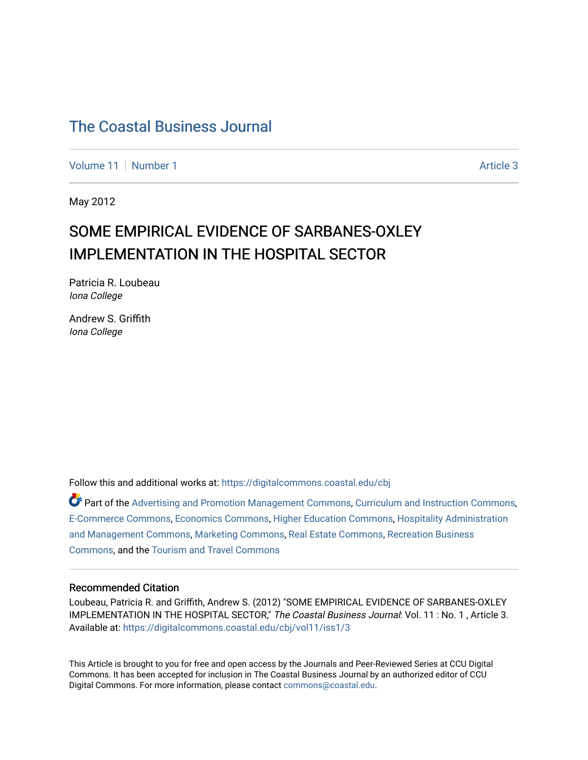[Volume 11](https://digitalcommons.coastal.edu/cbj/vol11) [Number 1](https://digitalcommons.coastal.edu/cbj/vol11/iss1) Article 3

May 2012

### SOME EMPIRICAL EVIDENCE OF SARBANES-OXLEY IMPLEMENTATION IN THE HOSPITAL SECTOR

Patricia R. Loubeau Iona College

Andrew S. Griffith Iona College

Follow this and additional works at: [https://digitalcommons.coastal.edu/cbj](https://digitalcommons.coastal.edu/cbj?utm_source=digitalcommons.coastal.edu%2Fcbj%2Fvol11%2Fiss1%2F3&utm_medium=PDF&utm_campaign=PDFCoverPages) 

Part of the [Advertising and Promotion Management Commons,](http://network.bepress.com/hgg/discipline/626?utm_source=digitalcommons.coastal.edu%2Fcbj%2Fvol11%2Fiss1%2F3&utm_medium=PDF&utm_campaign=PDFCoverPages) [Curriculum and Instruction Commons,](http://network.bepress.com/hgg/discipline/786?utm_source=digitalcommons.coastal.edu%2Fcbj%2Fvol11%2Fiss1%2F3&utm_medium=PDF&utm_campaign=PDFCoverPages) [E-Commerce Commons,](http://network.bepress.com/hgg/discipline/624?utm_source=digitalcommons.coastal.edu%2Fcbj%2Fvol11%2Fiss1%2F3&utm_medium=PDF&utm_campaign=PDFCoverPages) [Economics Commons](http://network.bepress.com/hgg/discipline/340?utm_source=digitalcommons.coastal.edu%2Fcbj%2Fvol11%2Fiss1%2F3&utm_medium=PDF&utm_campaign=PDFCoverPages), [Higher Education Commons](http://network.bepress.com/hgg/discipline/1245?utm_source=digitalcommons.coastal.edu%2Fcbj%2Fvol11%2Fiss1%2F3&utm_medium=PDF&utm_campaign=PDFCoverPages), [Hospitality Administration](http://network.bepress.com/hgg/discipline/632?utm_source=digitalcommons.coastal.edu%2Fcbj%2Fvol11%2Fiss1%2F3&utm_medium=PDF&utm_campaign=PDFCoverPages) [and Management Commons,](http://network.bepress.com/hgg/discipline/632?utm_source=digitalcommons.coastal.edu%2Fcbj%2Fvol11%2Fiss1%2F3&utm_medium=PDF&utm_campaign=PDFCoverPages) [Marketing Commons](http://network.bepress.com/hgg/discipline/638?utm_source=digitalcommons.coastal.edu%2Fcbj%2Fvol11%2Fiss1%2F3&utm_medium=PDF&utm_campaign=PDFCoverPages), [Real Estate Commons](http://network.bepress.com/hgg/discipline/641?utm_source=digitalcommons.coastal.edu%2Fcbj%2Fvol11%2Fiss1%2F3&utm_medium=PDF&utm_campaign=PDFCoverPages), [Recreation Business](http://network.bepress.com/hgg/discipline/1083?utm_source=digitalcommons.coastal.edu%2Fcbj%2Fvol11%2Fiss1%2F3&utm_medium=PDF&utm_campaign=PDFCoverPages) [Commons](http://network.bepress.com/hgg/discipline/1083?utm_source=digitalcommons.coastal.edu%2Fcbj%2Fvol11%2Fiss1%2F3&utm_medium=PDF&utm_campaign=PDFCoverPages), and the [Tourism and Travel Commons](http://network.bepress.com/hgg/discipline/1082?utm_source=digitalcommons.coastal.edu%2Fcbj%2Fvol11%2Fiss1%2F3&utm_medium=PDF&utm_campaign=PDFCoverPages)

#### Recommended Citation

Loubeau, Patricia R. and Griffith, Andrew S. (2012) "SOME EMPIRICAL EVIDENCE OF SARBANES-OXLEY IMPLEMENTATION IN THE HOSPITAL SECTOR," The Coastal Business Journal: Vol. 11 : No. 1, Article 3. Available at: [https://digitalcommons.coastal.edu/cbj/vol11/iss1/3](https://digitalcommons.coastal.edu/cbj/vol11/iss1/3?utm_source=digitalcommons.coastal.edu%2Fcbj%2Fvol11%2Fiss1%2F3&utm_medium=PDF&utm_campaign=PDFCoverPages) 

This Article is brought to you for free and open access by the Journals and Peer-Reviewed Series at CCU Digital Commons. It has been accepted for inclusion in The Coastal Business Journal by an authorized editor of CCU Digital Commons. For more information, please contact [commons@coastal.edu](mailto:commons@coastal.edu).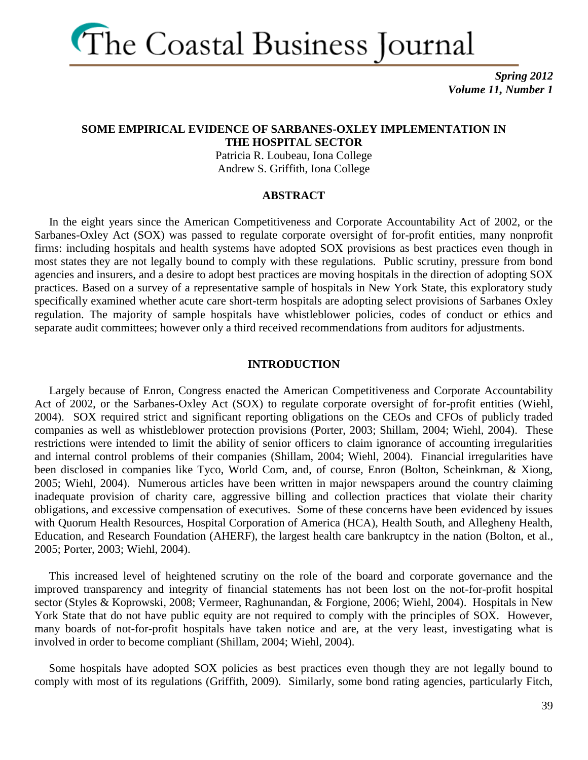

#### **SOME EMPIRICAL EVIDENCE OF SARBANES-OXLEY IMPLEMENTATION IN THE HOSPITAL SECTOR**

Patricia R. Loubeau, Iona College Andrew S. Griffith, Iona College

#### **ABSTRACT**

 In the eight years since the American Competitiveness and Corporate Accountability Act of 2002, or the Sarbanes-Oxley Act (SOX) was passed to regulate corporate oversight of for-profit entities, many nonprofit firms: including hospitals and health systems have adopted SOX provisions as best practices even though in most states they are not legally bound to comply with these regulations. Public scrutiny, pressure from bond agencies and insurers, and a desire to adopt best practices are moving hospitals in the direction of adopting SOX practices. Based on a survey of a representative sample of hospitals in New York State, this exploratory study specifically examined whether acute care short-term hospitals are adopting select provisions of Sarbanes Oxley regulation. The majority of sample hospitals have whistleblower policies, codes of conduct or ethics and separate audit committees; however only a third received recommendations from auditors for adjustments.

#### **INTRODUCTION**

 Largely because of Enron, Congress enacted the American Competitiveness and Corporate Accountability Act of 2002, or the Sarbanes-Oxley Act (SOX) to regulate corporate oversight of for-profit entities (Wiehl, 2004). SOX required strict and significant reporting obligations on the CEOs and CFOs of publicly traded companies as well as whistleblower protection provisions (Porter, 2003; Shillam, 2004; Wiehl, 2004). These restrictions were intended to limit the ability of senior officers to claim ignorance of accounting irregularities and internal control problems of their companies (Shillam, 2004; Wiehl, 2004). Financial irregularities have been disclosed in companies like Tyco, World Com, and, of course, Enron (Bolton, Scheinkman, & Xiong, 2005; Wiehl, 2004). Numerous articles have been written in major newspapers around the country claiming inadequate provision of charity care, aggressive billing and collection practices that violate their charity obligations, and excessive compensation of executives. Some of these concerns have been evidenced by issues with Quorum Health Resources, Hospital Corporation of America (HCA), Health South, and Allegheny Health, Education, and Research Foundation (AHERF), the largest health care bankruptcy in the nation (Bolton, et al., 2005; Porter, 2003; Wiehl, 2004).

 This increased level of heightened scrutiny on the role of the board and corporate governance and the improved transparency and integrity of financial statements has not been lost on the not-for-profit hospital sector (Styles & Koprowski, 2008; Vermeer, Raghunandan, & Forgione, 2006; Wiehl, 2004). Hospitals in New York State that do not have public equity are not required to comply with the principles of SOX. However, many boards of not-for-profit hospitals have taken notice and are, at the very least, investigating what is involved in order to become compliant (Shillam, 2004; Wiehl, 2004).

 Some hospitals have adopted SOX policies as best practices even though they are not legally bound to comply with most of its regulations (Griffith, 2009). Similarly, some bond rating agencies, particularly Fitch,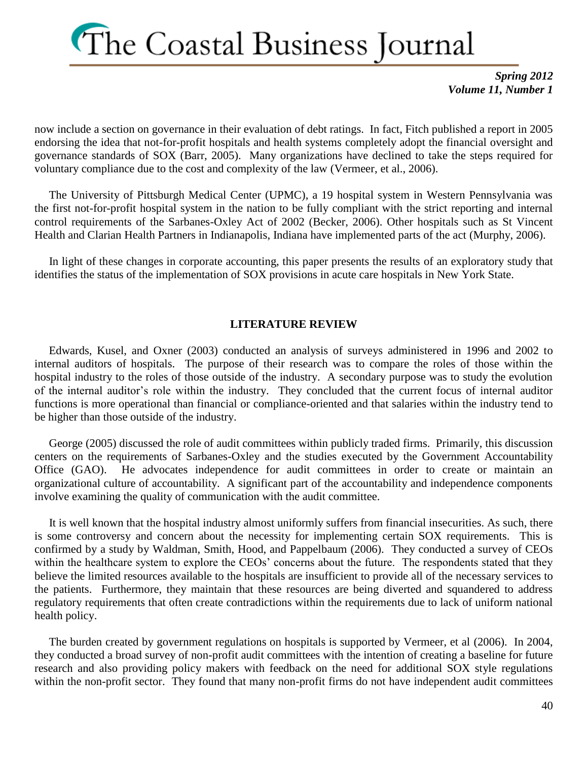*Spring 2012 Volume 11, Number 1*

now include a section on governance in their evaluation of debt ratings. In fact, Fitch published a report in 2005 endorsing the idea that not-for-profit hospitals and health systems completely adopt the financial oversight and governance standards of SOX (Barr, 2005). Many organizations have declined to take the steps required for voluntary compliance due to the cost and complexity of the law (Vermeer, et al., 2006).

 The University of Pittsburgh Medical Center (UPMC), a 19 hospital system in Western Pennsylvania was the first not-for-profit hospital system in the nation to be fully compliant with the strict reporting and internal control requirements of the Sarbanes-Oxley Act of 2002 (Becker, 2006). Other hospitals such as St Vincent Health and Clarian Health Partners in Indianapolis, Indiana have implemented parts of the act (Murphy, 2006).

 In light of these changes in corporate accounting, this paper presents the results of an exploratory study that identifies the status of the implementation of SOX provisions in acute care hospitals in New York State.

#### **LITERATURE REVIEW**

 Edwards, Kusel, and Oxner (2003) conducted an analysis of surveys administered in 1996 and 2002 to internal auditors of hospitals. The purpose of their research was to compare the roles of those within the hospital industry to the roles of those outside of the industry. A secondary purpose was to study the evolution of the internal auditor's role within the industry. They concluded that the current focus of internal auditor functions is more operational than financial or compliance-oriented and that salaries within the industry tend to be higher than those outside of the industry.

 George (2005) discussed the role of audit committees within publicly traded firms. Primarily, this discussion centers on the requirements of Sarbanes-Oxley and the studies executed by the Government Accountability Office (GAO). He advocates independence for audit committees in order to create or maintain an organizational culture of accountability. A significant part of the accountability and independence components involve examining the quality of communication with the audit committee.

 It is well known that the hospital industry almost uniformly suffers from financial insecurities. As such, there is some controversy and concern about the necessity for implementing certain SOX requirements. This is confirmed by a study by Waldman, Smith, Hood, and Pappelbaum (2006). They conducted a survey of CEOs within the healthcare system to explore the CEOs' concerns about the future. The respondents stated that they believe the limited resources available to the hospitals are insufficient to provide all of the necessary services to the patients. Furthermore, they maintain that these resources are being diverted and squandered to address regulatory requirements that often create contradictions within the requirements due to lack of uniform national health policy.

 The burden created by government regulations on hospitals is supported by Vermeer, et al (2006). In 2004, they conducted a broad survey of non-profit audit committees with the intention of creating a baseline for future research and also providing policy makers with feedback on the need for additional SOX style regulations within the non-profit sector. They found that many non-profit firms do not have independent audit committees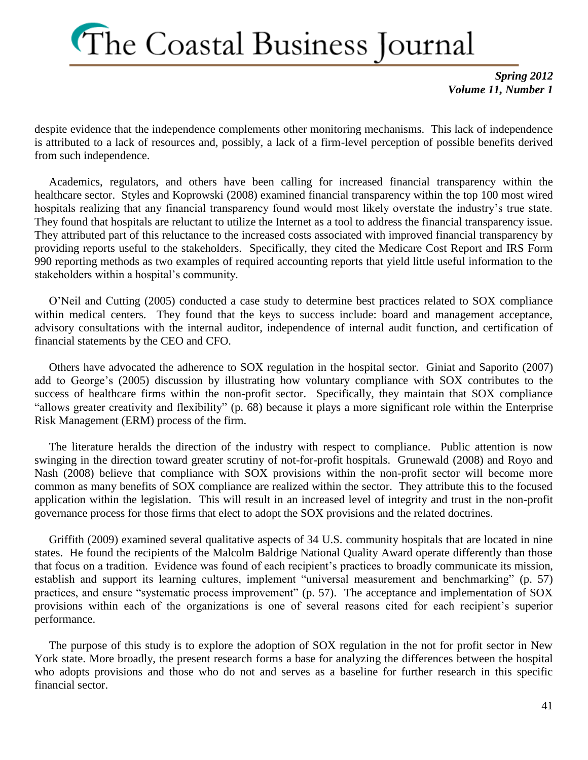*Spring 2012 Volume 11, Number 1*

despite evidence that the independence complements other monitoring mechanisms. This lack of independence is attributed to a lack of resources and, possibly, a lack of a firm-level perception of possible benefits derived from such independence.

 Academics, regulators, and others have been calling for increased financial transparency within the healthcare sector. Styles and Koprowski (2008) examined financial transparency within the top 100 most wired hospitals realizing that any financial transparency found would most likely overstate the industry's true state. They found that hospitals are reluctant to utilize the Internet as a tool to address the financial transparency issue. They attributed part of this reluctance to the increased costs associated with improved financial transparency by providing reports useful to the stakeholders. Specifically, they cited the Medicare Cost Report and IRS Form 990 reporting methods as two examples of required accounting reports that yield little useful information to the stakeholders within a hospital's community.

 O'Neil and Cutting (2005) conducted a case study to determine best practices related to SOX compliance within medical centers. They found that the keys to success include: board and management acceptance, advisory consultations with the internal auditor, independence of internal audit function, and certification of financial statements by the CEO and CFO.

 Others have advocated the adherence to SOX regulation in the hospital sector. Giniat and Saporito (2007) add to George's (2005) discussion by illustrating how voluntary compliance with SOX contributes to the success of healthcare firms within the non-profit sector. Specifically, they maintain that SOX compliance "allows greater creativity and flexibility" (p. 68) because it plays a more significant role within the Enterprise Risk Management (ERM) process of the firm.

 The literature heralds the direction of the industry with respect to compliance. Public attention is now swinging in the direction toward greater scrutiny of not-for-profit hospitals. Grunewald (2008) and Royo and Nash (2008) believe that compliance with SOX provisions within the non-profit sector will become more common as many benefits of SOX compliance are realized within the sector. They attribute this to the focused application within the legislation. This will result in an increased level of integrity and trust in the non-profit governance process for those firms that elect to adopt the SOX provisions and the related doctrines.

 Griffith (2009) examined several qualitative aspects of 34 U.S. community hospitals that are located in nine states. He found the recipients of the Malcolm Baldrige National Quality Award operate differently than those that focus on a tradition. Evidence was found of each recipient's practices to broadly communicate its mission, establish and support its learning cultures, implement "universal measurement and benchmarking" (p. 57) practices, and ensure "systematic process improvement" (p. 57). The acceptance and implementation of SOX provisions within each of the organizations is one of several reasons cited for each recipient's superior performance.

 The purpose of this study is to explore the adoption of SOX regulation in the not for profit sector in New York state. More broadly, the present research forms a base for analyzing the differences between the hospital who adopts provisions and those who do not and serves as a baseline for further research in this specific financial sector.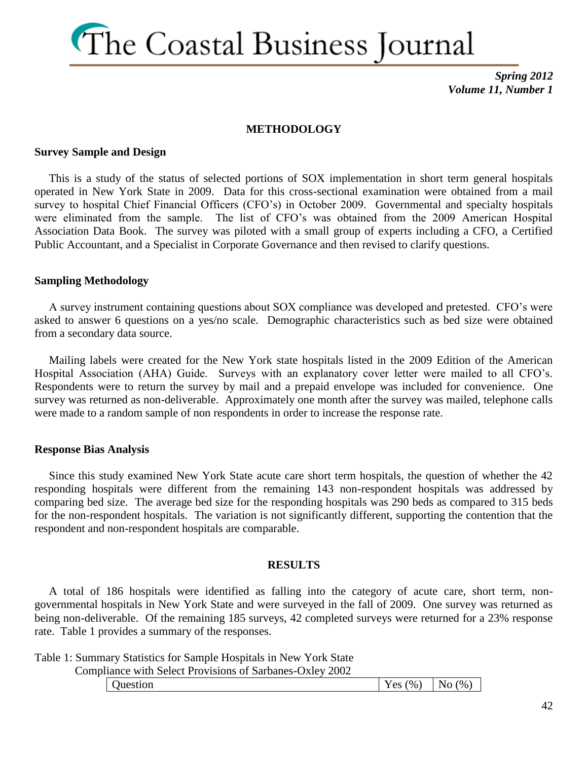

#### **METHODOLOGY**

#### **Survey Sample and Design**

 This is a study of the status of selected portions of SOX implementation in short term general hospitals operated in New York State in 2009. Data for this cross-sectional examination were obtained from a mail survey to hospital Chief Financial Officers (CFO's) in October 2009. Governmental and specialty hospitals were eliminated from the sample. The list of CFO's was obtained from the 2009 American Hospital Association Data Book. The survey was piloted with a small group of experts including a CFO, a Certified Public Accountant, and a Specialist in Corporate Governance and then revised to clarify questions.

#### **Sampling Methodology**

 A survey instrument containing questions about SOX compliance was developed and pretested. CFO's were asked to answer 6 questions on a yes/no scale. Demographic characteristics such as bed size were obtained from a secondary data source.

 Mailing labels were created for the New York state hospitals listed in the 2009 Edition of the American Hospital Association (AHA) Guide. Surveys with an explanatory cover letter were mailed to all CFO's. Respondents were to return the survey by mail and a prepaid envelope was included for convenience. One survey was returned as non-deliverable. Approximately one month after the survey was mailed, telephone calls were made to a random sample of non respondents in order to increase the response rate.

#### **Response Bias Analysis**

 Since this study examined New York State acute care short term hospitals, the question of whether the 42 responding hospitals were different from the remaining 143 non-respondent hospitals was addressed by comparing bed size. The average bed size for the responding hospitals was 290 beds as compared to 315 beds for the non-respondent hospitals. The variation is not significantly different, supporting the contention that the respondent and non-respondent hospitals are comparable.

#### **RESULTS**

 A total of 186 hospitals were identified as falling into the category of acute care, short term, nongovernmental hospitals in New York State and were surveyed in the fall of 2009. One survey was returned as being non-deliverable. Of the remaining 185 surveys, 42 completed surveys were returned for a 23% response rate. Table 1 provides a summary of the responses.

Table 1: Summary Statistics for Sample Hospitals in New York State

Compliance with Select Provisions of Sarbanes-Oxley 2002

|  | Juestion | $\gamma$ <sup>0</sup><br>$V \alpha c$<br>ັບ<br>- | $\frac{1}{2}$<br>- N.<br>⌒<br>◡ |
|--|----------|--------------------------------------------------|---------------------------------|
|--|----------|--------------------------------------------------|---------------------------------|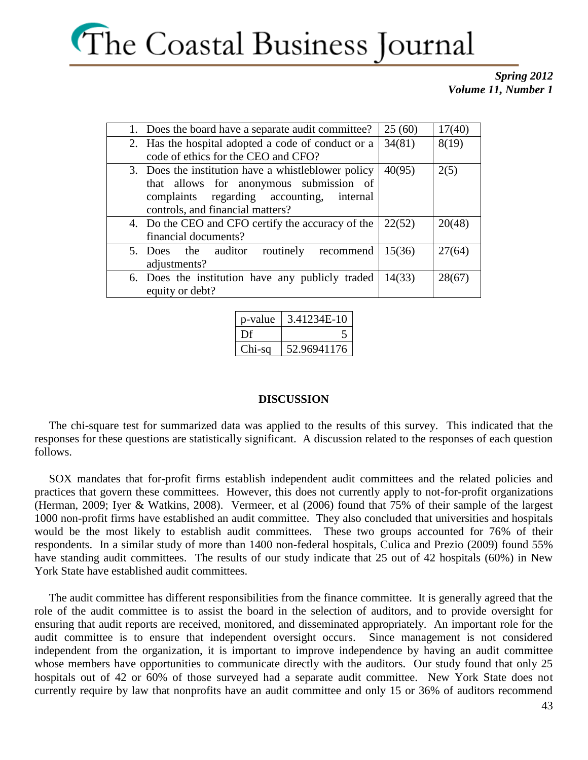

| 1. Does the board have a separate audit committee?  | 25(60) | 17(40) |
|-----------------------------------------------------|--------|--------|
| 2. Has the hospital adopted a code of conduct or a  | 34(81) | 8(19)  |
| code of ethics for the CEO and CFO?                 |        |        |
| 3. Does the institution have a whistleblower policy | 40(95) | 2(5)   |
| that allows for anonymous submission of             |        |        |
| complaints regarding accounting,<br>internal        |        |        |
| controls, and financial matters?                    |        |        |
| 4. Do the CEO and CFO certify the accuracy of the   | 22(52) | 20(48) |
| financial documents?                                |        |        |
| 5. Does the auditor routinely recommend             | 15(36) | 27(64) |
| adjustments?                                        |        |        |
| 6. Does the institution have any publicly traded    | 14(33) | 28(67) |
| equity or debt?                                     |        |        |

| p-value | 3.41234E-10 |
|---------|-------------|
| Df      |             |
| Chi-sa  | 52.96941176 |

#### **DISCUSSION**

 The chi-square test for summarized data was applied to the results of this survey. This indicated that the responses for these questions are statistically significant. A discussion related to the responses of each question follows.

 SOX mandates that for-profit firms establish independent audit committees and the related policies and practices that govern these committees. However, this does not currently apply to not-for-profit organizations (Herman, 2009; Iyer & Watkins, 2008). Vermeer, et al (2006) found that 75% of their sample of the largest 1000 non-profit firms have established an audit committee. They also concluded that universities and hospitals would be the most likely to establish audit committees. These two groups accounted for 76% of their respondents. In a similar study of more than 1400 non-federal hospitals, Culica and Prezio (2009) found 55% have standing audit committees. The results of our study indicate that 25 out of 42 hospitals (60%) in New York State have established audit committees.

 The audit committee has different responsibilities from the finance committee. It is generally agreed that the role of the audit committee is to assist the board in the selection of auditors, and to provide oversight for ensuring that audit reports are received, monitored, and disseminated appropriately. An important role for the audit committee is to ensure that independent oversight occurs. Since management is not considered independent from the organization, it is important to improve independence by having an audit committee whose members have opportunities to communicate directly with the auditors. Our study found that only 25 hospitals out of 42 or 60% of those surveyed had a separate audit committee. New York State does not currently require by law that nonprofits have an audit committee and only 15 or 36% of auditors recommend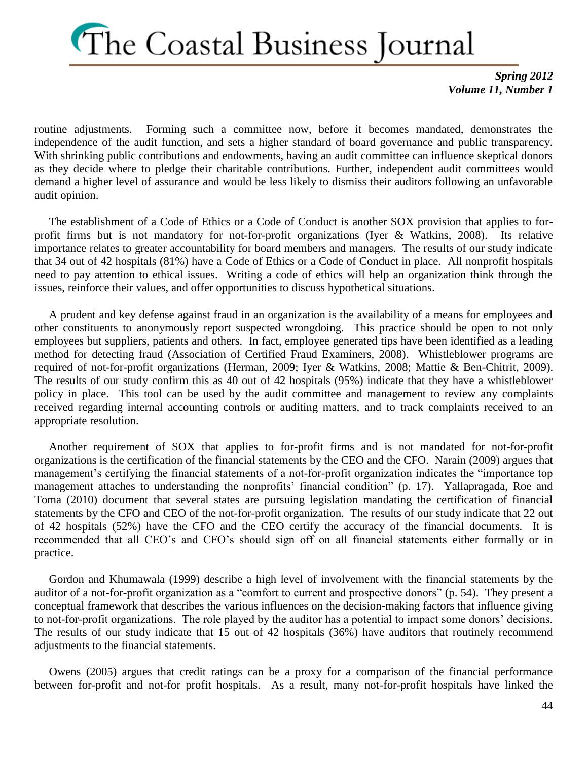*Spring 2012 Volume 11, Number 1*

routine adjustments. Forming such a committee now, before it becomes mandated, demonstrates the independence of the audit function, and sets a higher standard of board governance and public transparency. With shrinking public contributions and endowments, having an audit committee can influence skeptical donors as they decide where to pledge their charitable contributions. Further, independent audit committees would demand a higher level of assurance and would be less likely to dismiss their auditors following an unfavorable audit opinion.

 The establishment of a Code of Ethics or a Code of Conduct is another SOX provision that applies to forprofit firms but is not mandatory for not-for-profit organizations (Iyer & Watkins, 2008). Its relative importance relates to greater accountability for board members and managers. The results of our study indicate that 34 out of 42 hospitals (81%) have a Code of Ethics or a Code of Conduct in place. All nonprofit hospitals need to pay attention to ethical issues. Writing a code of ethics will help an organization think through the issues, reinforce their values, and offer opportunities to discuss hypothetical situations.

 A prudent and key defense against fraud in an organization is the availability of a means for employees and other constituents to anonymously report suspected wrongdoing. This practice should be open to not only employees but suppliers, patients and others. In fact, employee generated tips have been identified as a leading method for detecting fraud (Association of Certified Fraud Examiners, 2008). Whistleblower programs are required of not-for-profit organizations (Herman, 2009; Iyer & Watkins, 2008; Mattie & Ben-Chitrit, 2009). The results of our study confirm this as 40 out of 42 hospitals (95%) indicate that they have a whistleblower policy in place. This tool can be used by the audit committee and management to review any complaints received regarding internal accounting controls or auditing matters, and to track complaints received to an appropriate resolution.

 Another requirement of SOX that applies to for-profit firms and is not mandated for not-for-profit organizations is the certification of the financial statements by the CEO and the CFO. Narain (2009) argues that management's certifying the financial statements of a not-for-profit organization indicates the "importance top management attaches to understanding the nonprofits' financial condition" (p. 17). Yallapragada, Roe and Toma (2010) document that several states are pursuing legislation mandating the certification of financial statements by the CFO and CEO of the not-for-profit organization. The results of our study indicate that 22 out of 42 hospitals (52%) have the CFO and the CEO certify the accuracy of the financial documents. It is recommended that all CEO's and CFO's should sign off on all financial statements either formally or in practice.

 Gordon and Khumawala (1999) describe a high level of involvement with the financial statements by the auditor of a not-for-profit organization as a "comfort to current and prospective donors" (p. 54). They present a conceptual framework that describes the various influences on the decision-making factors that influence giving to not-for-profit organizations. The role played by the auditor has a potential to impact some donors' decisions. The results of our study indicate that 15 out of 42 hospitals (36%) have auditors that routinely recommend adjustments to the financial statements.

 Owens (2005) argues that credit ratings can be a proxy for a comparison of the financial performance between for-profit and not-for profit hospitals. As a result, many not-for-profit hospitals have linked the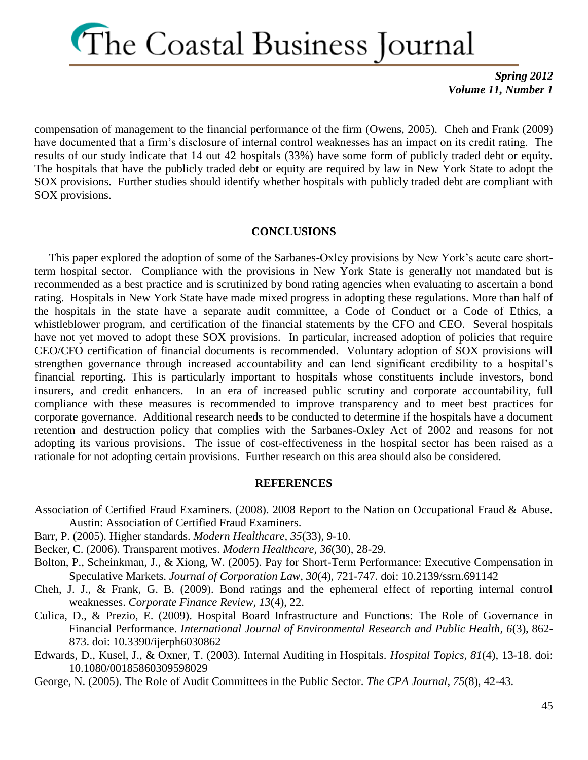

compensation of management to the financial performance of the firm (Owens, 2005). Cheh and Frank (2009) have documented that a firm's disclosure of internal control weaknesses has an impact on its credit rating. The results of our study indicate that 14 out 42 hospitals (33%) have some form of publicly traded debt or equity. The hospitals that have the publicly traded debt or equity are required by law in New York State to adopt the SOX provisions. Further studies should identify whether hospitals with publicly traded debt are compliant with SOX provisions.

#### **CONCLUSIONS**

 This paper explored the adoption of some of the Sarbanes-Oxley provisions by New York's acute care shortterm hospital sector. Compliance with the provisions in New York State is generally not mandated but is recommended as a best practice and is scrutinized by bond rating agencies when evaluating to ascertain a bond rating. Hospitals in New York State have made mixed progress in adopting these regulations. More than half of the hospitals in the state have a separate audit committee, a Code of Conduct or a Code of Ethics, a whistleblower program, and certification of the financial statements by the CFO and CEO. Several hospitals have not yet moved to adopt these SOX provisions. In particular, increased adoption of policies that require CEO/CFO certification of financial documents is recommended. Voluntary adoption of SOX provisions will strengthen governance through increased accountability and can lend significant credibility to a hospital's financial reporting. This is particularly important to hospitals whose constituents include investors, bond insurers, and credit enhancers. In an era of increased public scrutiny and corporate accountability, full compliance with these measures is recommended to improve transparency and to meet best practices for corporate governance. Additional research needs to be conducted to determine if the hospitals have a document retention and destruction policy that complies with the Sarbanes-Oxley Act of 2002 and reasons for not adopting its various provisions. The issue of cost-effectiveness in the hospital sector has been raised as a rationale for not adopting certain provisions. Further research on this area should also be considered.

#### **REFERENCES**

- Association of Certified Fraud Examiners. (2008). 2008 Report to the Nation on Occupational Fraud & Abuse. Austin: Association of Certified Fraud Examiners.
- Barr, P. (2005). Higher standards. *Modern Healthcare, 35*(33), 9-10.
- Becker, C. (2006). Transparent motives. *Modern Healthcare, 36*(30), 28-29.
- Bolton, P., Scheinkman, J., & Xiong, W. (2005). Pay for Short-Term Performance: Executive Compensation in Speculative Markets. *Journal of Corporation Law, 30*(4), 721-747. doi: 10.2139/ssrn.691142
- Cheh, J. J., & Frank, G. B. (2009). Bond ratings and the ephemeral effect of reporting internal control weaknesses. *Corporate Finance Review, 13*(4), 22.
- Culica, D., & Prezio, E. (2009). Hospital Board Infrastructure and Functions: The Role of Governance in Financial Performance. *International Journal of Environmental Research and Public Health, 6*(3), 862- 873. doi: 10.3390/ijerph6030862
- Edwards, D., Kusel, J., & Oxner, T. (2003). Internal Auditing in Hospitals. *Hospital Topics, 81*(4), 13-18. doi: 10.1080/00185860309598029

George, N. (2005). The Role of Audit Committees in the Public Sector. *The CPA Journal, 75*(8), 42-43.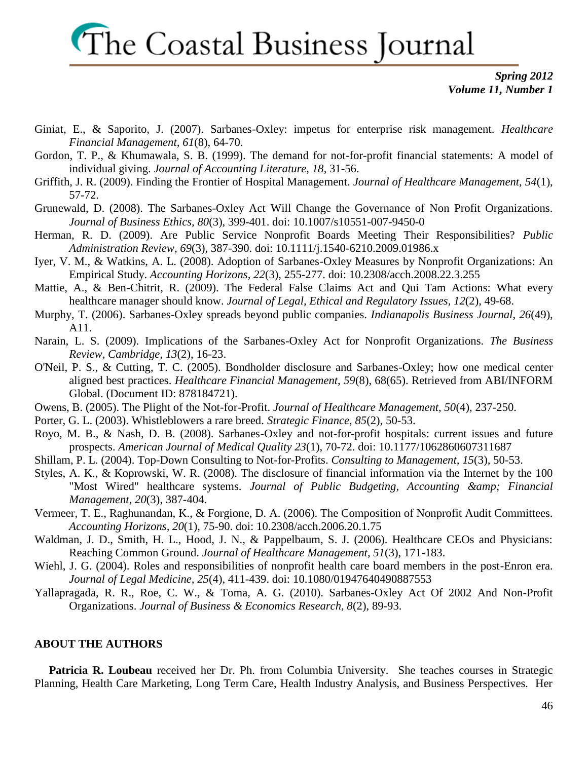*Spring 2012 Volume 11, Number 1*

- Giniat, E., & Saporito, J. (2007). Sarbanes-Oxley: impetus for enterprise risk management. *Healthcare Financial Management, 61*(8), 64-70.
- Gordon, T. P., & Khumawala, S. B. (1999). The demand for not-for-profit financial statements: A model of individual giving. *Journal of Accounting Literature, 18*, 31-56.
- Griffith, J. R. (2009). Finding the Frontier of Hospital Management. *Journal of Healthcare Management, 54*(1), 57-72.
- Grunewald, D. (2008). The Sarbanes-Oxley Act Will Change the Governance of Non Profit Organizations. *Journal of Business Ethics, 80*(3), 399-401. doi: 10.1007/s10551-007-9450-0
- Herman, R. D. (2009). Are Public Service Nonprofit Boards Meeting Their Responsibilities? *Public Administration Review, 69*(3), 387-390. doi: 10.1111/j.1540-6210.2009.01986.x
- Iyer, V. M., & Watkins, A. L. (2008). Adoption of Sarbanes-Oxley Measures by Nonprofit Organizations: An Empirical Study. *Accounting Horizons, 22*(3), 255-277. doi: 10.2308/acch.2008.22.3.255
- Mattie, A., & Ben-Chitrit, R. (2009). The Federal False Claims Act and Qui Tam Actions: What every healthcare manager should know. *Journal of Legal, Ethical and Regulatory Issues, 12*(2), 49-68.
- Murphy, T. (2006). Sarbanes-Oxley spreads beyond public companies. *Indianapolis Business Journal, 26*(49), A11.
- Narain, L. S. (2009). Implications of the Sarbanes-Oxley Act for Nonprofit Organizations. *The Business Review, Cambridge, 13*(2), 16-23.
- O'Neil, P. S., & Cutting, T. C. (2005). Bondholder disclosure and Sarbanes-Oxley; how one medical center aligned best practices. *Healthcare Financial Management, 59*(8), 68(65). Retrieved from ABI/INFORM Global. (Document ID: 878184721).
- Owens, B. (2005). The Plight of the Not-for-Profit. *Journal of Healthcare Management, 50*(4), 237-250.
- Porter, G. L. (2003). Whistleblowers a rare breed. *Strategic Finance, 85*(2), 50-53.
- Royo, M. B., & Nash, D. B. (2008). Sarbanes-Oxley and not-for-profit hospitals: current issues and future prospects. *American Journal of Medical Quality 23*(1), 70-72. doi: 10.1177/1062860607311687
- Shillam, P. L. (2004). Top-Down Consulting to Not-for-Profits. *Consulting to Management, 15*(3), 50-53.
- Styles, A. K., & Koprowski, W. R. (2008). The disclosure of financial information via the Internet by the 100 "Most Wired" healthcare systems. *Journal of Public Budgeting, Accounting & amp*; Financial *Management, 20*(3), 387-404.
- Vermeer, T. E., Raghunandan, K., & Forgione, D. A. (2006). The Composition of Nonprofit Audit Committees. *Accounting Horizons, 20*(1), 75-90. doi: 10.2308/acch.2006.20.1.75
- Waldman, J. D., Smith, H. L., Hood, J. N., & Pappelbaum, S. J. (2006). Healthcare CEOs and Physicians: Reaching Common Ground. *Journal of Healthcare Management, 51*(3), 171-183.
- Wiehl, J. G. (2004). Roles and responsibilities of nonprofit health care board members in the post-Enron era. *Journal of Legal Medicine, 25*(4), 411-439. doi: 10.1080/01947640490887553
- Yallapragada, R. R., Roe, C. W., & Toma, A. G. (2010). Sarbanes-Oxley Act Of 2002 And Non-Profit Organizations. *Journal of Business & Economics Research, 8*(2), 89-93.

#### **ABOUT THE AUTHORS**

Patricia R. Loubeau received her Dr. Ph. from Columbia University. She teaches courses in Strategic Planning, Health Care Marketing, Long Term Care, Health Industry Analysis, and Business Perspectives. Her